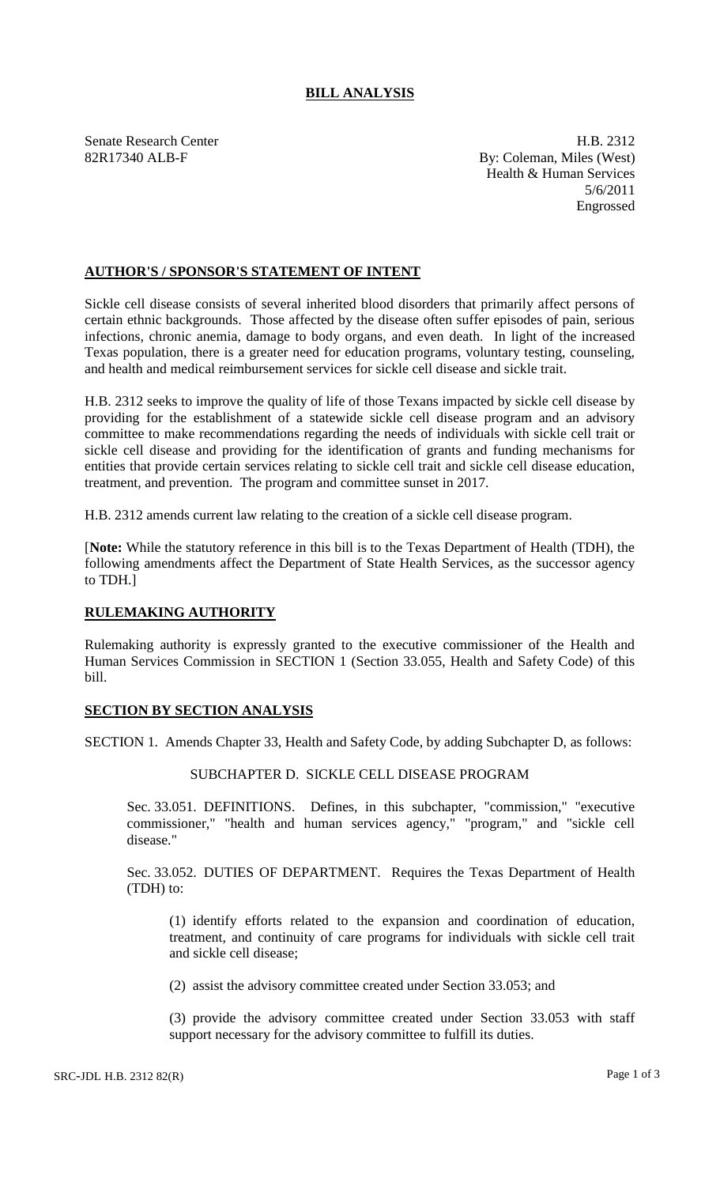# **BILL ANALYSIS**

Senate Research Center **H.B. 2312** 82R17340 ALB-F By: Coleman, Miles (West) Health & Human Services 5/6/2011 Engrossed

## **AUTHOR'S / SPONSOR'S STATEMENT OF INTENT**

Sickle cell disease consists of several inherited blood disorders that primarily affect persons of certain ethnic backgrounds. Those affected by the disease often suffer episodes of pain, serious infections, chronic anemia, damage to body organs, and even death. In light of the increased Texas population, there is a greater need for education programs, voluntary testing, counseling, and health and medical reimbursement services for sickle cell disease and sickle trait.

H.B. 2312 seeks to improve the quality of life of those Texans impacted by sickle cell disease by providing for the establishment of a statewide sickle cell disease program and an advisory committee to make recommendations regarding the needs of individuals with sickle cell trait or sickle cell disease and providing for the identification of grants and funding mechanisms for entities that provide certain services relating to sickle cell trait and sickle cell disease education, treatment, and prevention. The program and committee sunset in 2017.

H.B. 2312 amends current law relating to the creation of a sickle cell disease program.

[**Note:** While the statutory reference in this bill is to the Texas Department of Health (TDH), the following amendments affect the Department of State Health Services, as the successor agency to TDH.]

### **RULEMAKING AUTHORITY**

Rulemaking authority is expressly granted to the executive commissioner of the Health and Human Services Commission in SECTION 1 (Section 33.055, Health and Safety Code) of this bill.

### **SECTION BY SECTION ANALYSIS**

SECTION 1. Amends Chapter 33, Health and Safety Code, by adding Subchapter D, as follows:

### SUBCHAPTER D. SICKLE CELL DISEASE PROGRAM

Sec. 33.051. DEFINITIONS. Defines, in this subchapter, "commission," "executive commissioner," "health and human services agency," "program," and "sickle cell disease."

Sec. 33.052. DUTIES OF DEPARTMENT. Requires the Texas Department of Health (TDH) to:

(1) identify efforts related to the expansion and coordination of education, treatment, and continuity of care programs for individuals with sickle cell trait and sickle cell disease;

(2) assist the advisory committee created under Section 33.053; and

(3) provide the advisory committee created under Section 33.053 with staff support necessary for the advisory committee to fulfill its duties.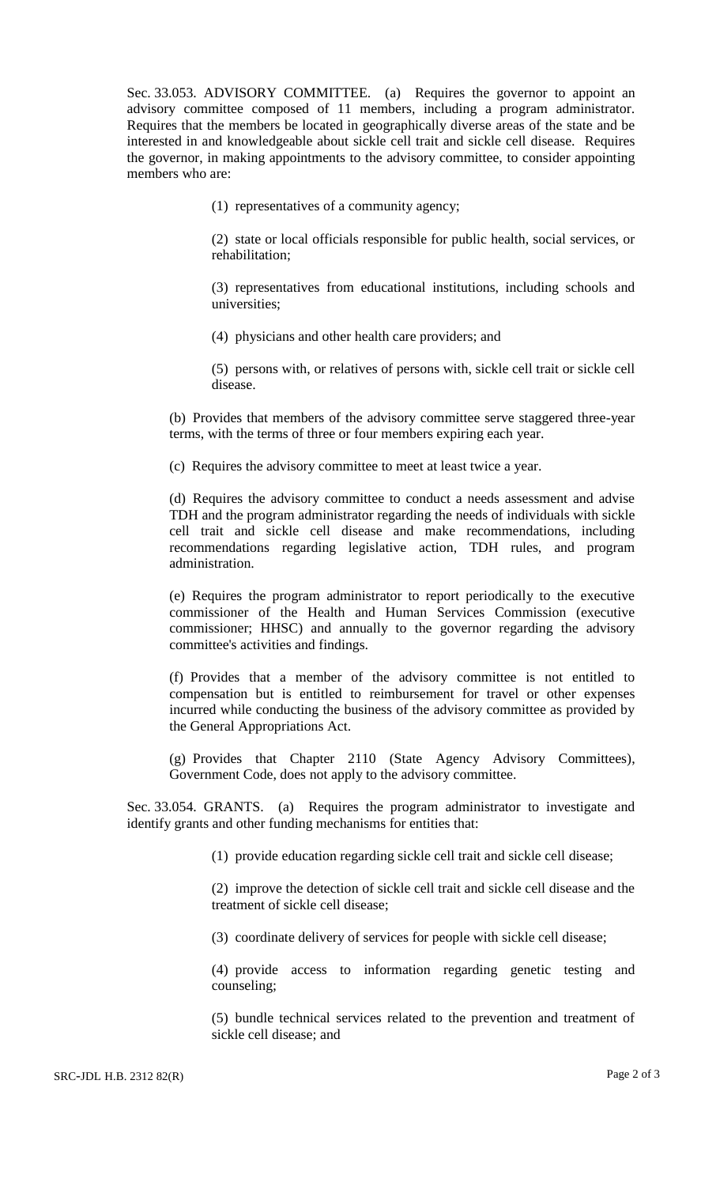Sec. 33.053. ADVISORY COMMITTEE. (a) Requires the governor to appoint an advisory committee composed of 11 members, including a program administrator. Requires that the members be located in geographically diverse areas of the state and be interested in and knowledgeable about sickle cell trait and sickle cell disease. Requires the governor, in making appointments to the advisory committee, to consider appointing members who are:

(1) representatives of a community agency;

(2) state or local officials responsible for public health, social services, or rehabilitation;

(3) representatives from educational institutions, including schools and universities;

(4) physicians and other health care providers; and

(5) persons with, or relatives of persons with, sickle cell trait or sickle cell disease.

(b) Provides that members of the advisory committee serve staggered three-year terms, with the terms of three or four members expiring each year.

(c) Requires the advisory committee to meet at least twice a year.

(d) Requires the advisory committee to conduct a needs assessment and advise TDH and the program administrator regarding the needs of individuals with sickle cell trait and sickle cell disease and make recommendations, including recommendations regarding legislative action, TDH rules, and program administration.

(e) Requires the program administrator to report periodically to the executive commissioner of the Health and Human Services Commission (executive commissioner; HHSC) and annually to the governor regarding the advisory committee's activities and findings.

(f) Provides that a member of the advisory committee is not entitled to compensation but is entitled to reimbursement for travel or other expenses incurred while conducting the business of the advisory committee as provided by the General Appropriations Act.

(g) Provides that Chapter 2110 (State Agency Advisory Committees), Government Code, does not apply to the advisory committee.

Sec. 33.054. GRANTS. (a) Requires the program administrator to investigate and identify grants and other funding mechanisms for entities that:

(1) provide education regarding sickle cell trait and sickle cell disease;

(2) improve the detection of sickle cell trait and sickle cell disease and the treatment of sickle cell disease;

(3) coordinate delivery of services for people with sickle cell disease;

(4) provide access to information regarding genetic testing and counseling;

(5) bundle technical services related to the prevention and treatment of sickle cell disease; and